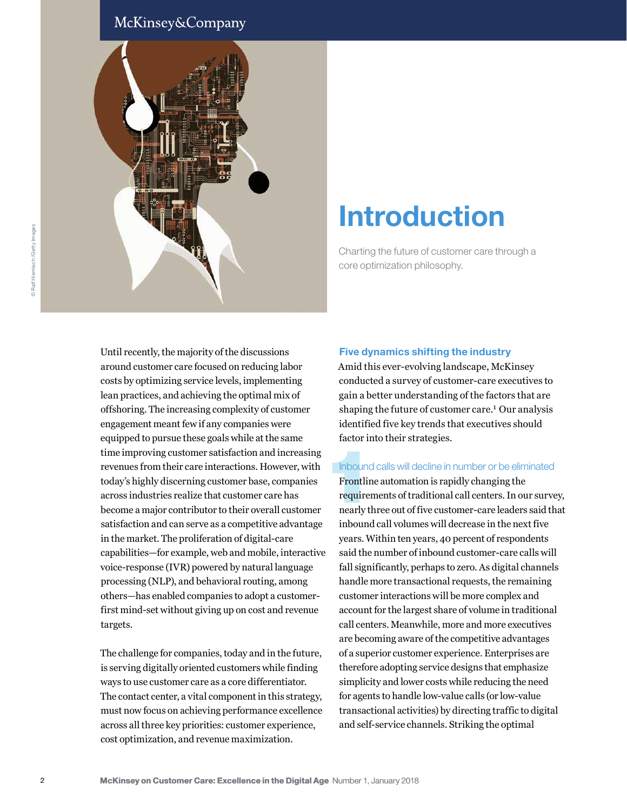# McKinsey&Company



# Introduction

Charting the future of customer care through a core optimization philosophy.

Until recently, the majority of the discussions around customer care focused on reducing labor costs by optimizing service levels, implementing lean practices, and achieving the optimal mix of offshoring. The increasing complexity of customer engagement meant few if any companies were equipped to pursue these goals while at the same time improving customer satisfaction and increasing revenues from their care interactions. However, with today's highly discerning customer base, companies across industries realize that customer care has become a major contributor to their overall customer satisfaction and can serve as a competitive advantage in the market. The proliferation of digital-care capabilities—for example, web and mobile, interactive voice-response (IVR) powered by natural language processing (NLP), and behavioral routing, among others—has enabled companies to adopt a customerfirst mind-set without giving up on cost and revenue targets.

The challenge for companies, today and in the future, is serving digitally oriented customers while finding ways to use customer care as a core differentiator. The contact center, a vital component in this strategy, must now focus on achieving performance excellence across all three key priorities: customer experience, cost optimization, and revenue maximization.

#### Five dynamics shifting the industry

Amid this ever-evolving landscape, McKinsey conducted a survey of customer-care executives to gain a better understanding of the factors that are shaping the future of customer care.<sup>1</sup> Our analysis identified five key trends that executives should factor into their strategies.

#### Inbound calls will decline in number or be eliminated

Inbound<br>Frontlin<br>requirer<br>nearly th Frontline automation is rapidly changing the requirements of traditional call centers. In our survey, nearly three out of five customer-care leaders said that inbound call volumes will decrease in the next five years. Within ten years, 40 percent of respondents said the number of inbound customer-care calls will fall significantly, perhaps to zero. As digital channels handle more transactional requests, the remaining customer interactions will be more complex and account for the largest share of volume in traditional call centers. Meanwhile, more and more executives are becoming aware of the competitive advantages of a superior customer experience. Enterprises are therefore adopting service designs that emphasize simplicity and lower costs while reducing the need for agents to handle low-value calls (or low-value transactional activities) by directing traffic to digital and self-service channels. Striking the optimal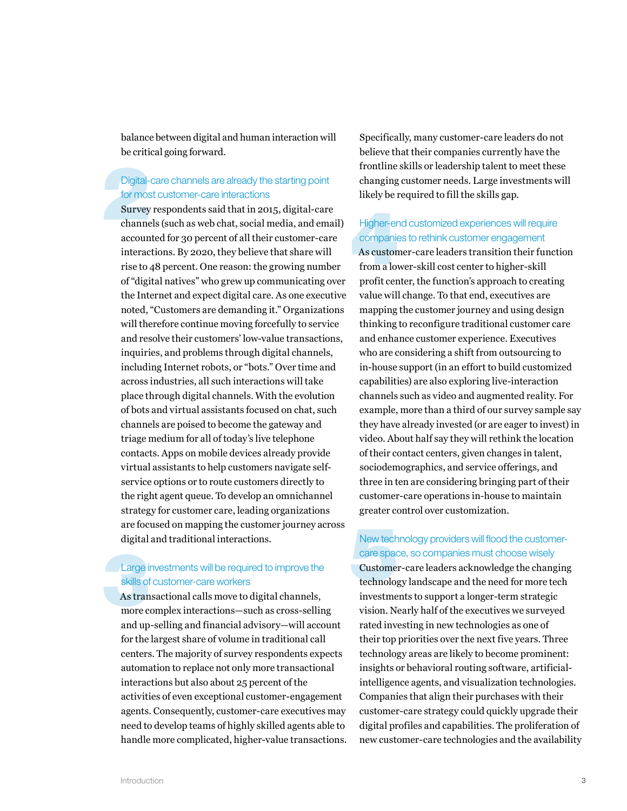balance between digital and human interaction will be critical going forward.

# Digital-care channels are already the starting point for most customer-care interactions

Digital-<br>for mos<br>**Survey**<br>channe Survey respondents said that in 2015, digital-care channels (such as web chat, social media, and email) accounted for 30 percent of all their customer-care interactions. By 2020, they believe that share will rise to 48 percent. One reason: the growing number of "digital natives" who grew up communicating over the Internet and expect digital care. As one executive noted, "Customers are demanding it." Organizations will therefore continue moving forcefully to service and resolve their customers' low-value transactions, inquiries, and problems through digital channels, including Internet robots, or "bots." Over time and across industries, all such interactions will take place through digital channels. With the evolution of bots and virtual assistants focused on chat, such channels are poised to become the gateway and triage medium for all of today's live telephone contacts. Apps on mobile devices already provide virtual assistants to help customers navigate selfservice options or to route customers directly to the right agent queue. To develop an omnichannel strategy for customer care, leading organizations are focused on mapping the customer journey across digital and traditional interactions.

# Large investments will be required to improve the skills of customer-care workers

Large in<br>
skills of<br>
As tran<br>
more c As transactional calls move to digital channels, more complex interactions—such as cross-selling and up-selling and financial advisory—will account for the largest share of volume in traditional call centers. The majority of survey respondents expects automation to replace not only more transactional interactions but also about 25 percent of the activities of even exceptional customer-engagement agents. Consequently, customer-care executives may need to develop teams of highly skilled agents able to handle more complicated, higher-value transactions. Specifically, many customer-care leaders do not believe that their companies currently have the frontline skills or leadership talent to meet these changing customer needs. Large investments will likely be required to fill the skills gap.

# Higher-end customized experiences will require companies to rethink customer engagement

Higher-er<br>companie<br>As custon<br>from a low As customer-care leaders transition their function from a lower-skill cost center to higher-skill profit center, the function's approach to creating value will change. To that end, executives are mapping the customer journey and using design thinking to reconfigure traditional customer care and enhance customer experience. Executives who are considering a shift from outsourcing to in-house support (in an effort to build customized capabilities) are also exploring live-interaction channels such as video and augmented reality. For example, more than a third of our survey sample say they have already invested (or are eager to invest) in video. About half say they will rethink the location of their contact centers, given changes in talent, sociodemographics, and service offerings, and three in ten are considering bringing part of their customer-care operations in-house to maintain greater control over customization.

#### New technology providers will flood the customercare space, so companies must choose wisely

New tech<br>care space<br>Customer<br>technolog Customer-care leaders acknowledge the changing technology landscape and the need for more tech investments to support a longer-term strategic vision. Nearly half of the executives we surveyed rated investing in new technologies as one of their top priorities over the next five years. Three technology areas are likely to become prominent: insights or behavioral routing software, artificialintelligence agents, and visualization technologies. Companies that align their purchases with their customer-care strategy could quickly upgrade their digital profiles and capabilities. The proliferation of new customer-care technologies and the availability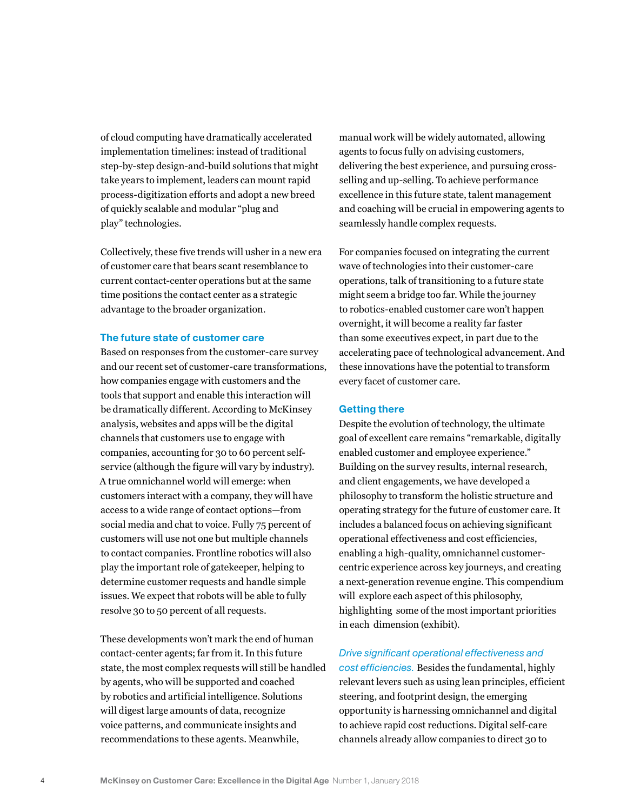of cloud computing have dramatically accelerated implementation timelines: instead of traditional step-by-step design-and-build solutions that might take years to implement, leaders can mount rapid process-digitization efforts and adopt a new breed of quickly scalable and modular "plug and play" technologies.

Collectively, these five trends will usher in a new era of customer care that bears scant resemblance to current contact-center operations but at the same time positions the contact center as a strategic advantage to the broader organization.

#### The future state of customer care

Based on responses from the customer-care survey and our recent set of customer-care transformations, how companies engage with customers and the tools that support and enable this interaction will be dramatically different. According to McKinsey analysis, websites and apps will be the digital channels that customers use to engage with companies, accounting for 30 to 60 percent selfservice (although the figure will vary by industry). A true omnichannel world will emerge: when customers interact with a company, they will have access to a wide range of contact options—from social media and chat to voice. Fully 75 percent of customers will use not one but multiple channels to contact companies. Frontline robotics will also play the important role of gatekeeper, helping to determine customer requests and handle simple issues. We expect that robots will be able to fully resolve 30 to 50 percent of all requests.

These developments won't mark the end of human contact-center agents; far from it. In this future state, the most complex requests will still be handled by agents, who will be supported and coached by robotics and artificial intelligence. Solutions will digest large amounts of data, recognize voice patterns, and communicate insights and recommendations to these agents. Meanwhile,

manual work will be widely automated, allowing agents to focus fully on advising customers, delivering the best experience, and pursuing crossselling and up-selling. To achieve performance excellence in this future state, talent management and coaching will be crucial in empowering agents to seamlessly handle complex requests.

For companies focused on integrating the current wave of technologies into their customer-care operations, talk of transitioning to a future state might seem a bridge too far. While the journey to robotics-enabled customer care won't happen overnight, it will become a reality far faster than some executives expect, in part due to the accelerating pace of technological advancement. And these innovations have the potential to transform every facet of customer care.

#### Getting there

Despite the evolution of technology, the ultimate goal of excellent care remains "remarkable, digitally enabled customer and employee experience." Building on the survey results, internal research, and client engagements, we have developed a philosophy to transform the holistic structure and operating strategy for the future of customer care. It includes a balanced focus on achieving significant operational effectiveness and cost efficiencies, enabling a high-quality, omnichannel customercentric experience across key journeys, and creating a next-generation revenue engine. This compendium will explore each aspect of this philosophy, highlighting some of the most important priorities in each dimension (exhibit).

*Drive significant operational effectiveness and cost efficiencies.* Besides the fundamental, highly relevant levers such as using lean principles, efficient steering, and footprint design, the emerging opportunity is harnessing omnichannel and digital to achieve rapid cost reductions. Digital self-care channels already allow companies to direct 30 to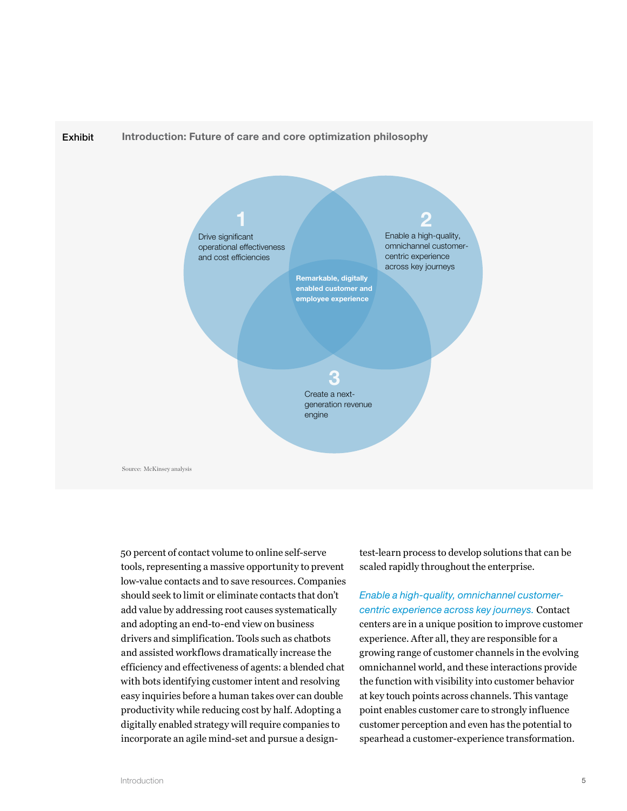

50 percent of contact volume to online self-serve tools, representing a massive opportunity to prevent low-value contacts and to save resources. Companies should seek to limit or eliminate contacts that don't add value by addressing root causes systematically and adopting an end-to-end view on business drivers and simplification. Tools such as chatbots and assisted workflows dramatically increase the efficiency and effectiveness of agents: a blended chat with bots identifying customer intent and resolving easy inquiries before a human takes over can double productivity while reducing cost by half. Adopting a digitally enabled strategy will require companies to incorporate an agile mind-set and pursue a designtest-learn process to develop solutions that can be scaled rapidly throughout the enterprise.

#### *Enable a high-quality, omnichannel customercentric experience across key journeys.* Contact

centers are in a unique position to improve customer experience. After all, they are responsible for a growing range of customer channels in the evolving omnichannel world, and these interactions provide the function with visibility into customer behavior at key touch points across channels. This vantage point enables customer care to strongly influence customer perception and even has the potential to spearhead a customer-experience transformation.